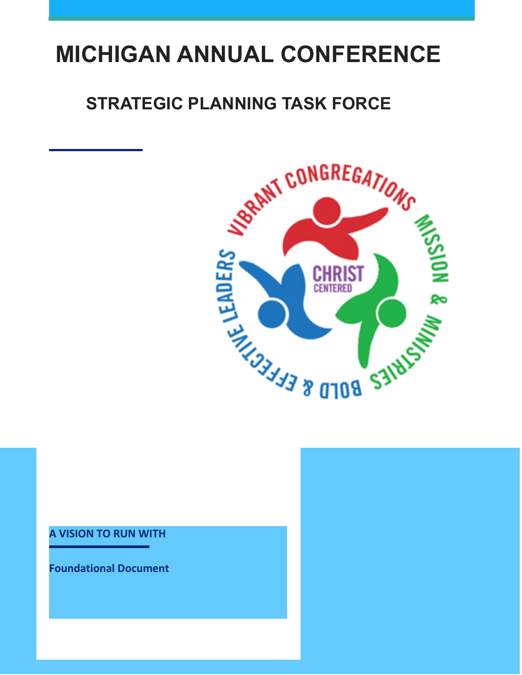# **MICHIGAN ANNUAL CONFERENCE**

## **STRATEGIC PLANNING TASK FORCE**



#### **A VISION TO RUN WITH**

**Foundational Document**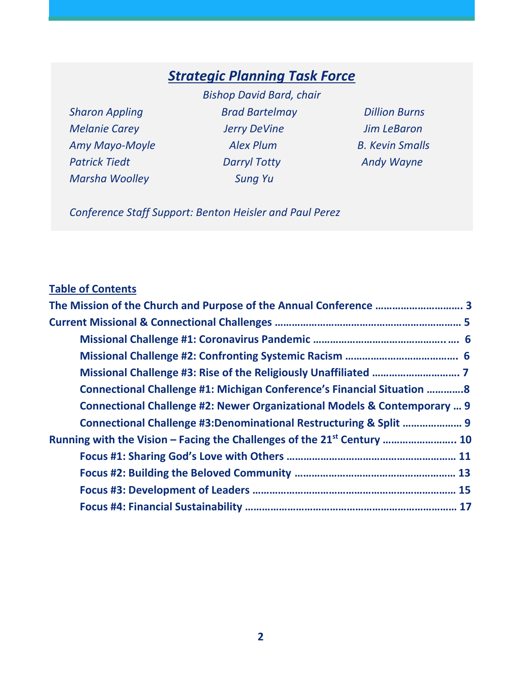## *Strategic Planning Task Force*

*Marsha Woolley Sung Yu* 

*Bishop David Bard, chair Sharon Appling Brad Bartelmay Dillion Burns Melanie Carey Jerry DeVine Jim LeBaron Amy Mayo-Moyle Alex Plum B. Kevin Smalls Patrick Tiedt Darryl Totty Andy Wayne* 

*Conference Staff Support: Benton Heisler and Paul Perez* 

### **Table of Contents**

| Connectional Challenge #1: Michigan Conference's Financial Situation 8              |  |
|-------------------------------------------------------------------------------------|--|
| Connectional Challenge #2: Newer Organizational Models & Contemporary  9            |  |
| Connectional Challenge #3:Denominational Restructuring & Split  9                   |  |
| Running with the Vision – Facing the Challenges of the 21 <sup>st</sup> Century  10 |  |
|                                                                                     |  |
|                                                                                     |  |
|                                                                                     |  |
|                                                                                     |  |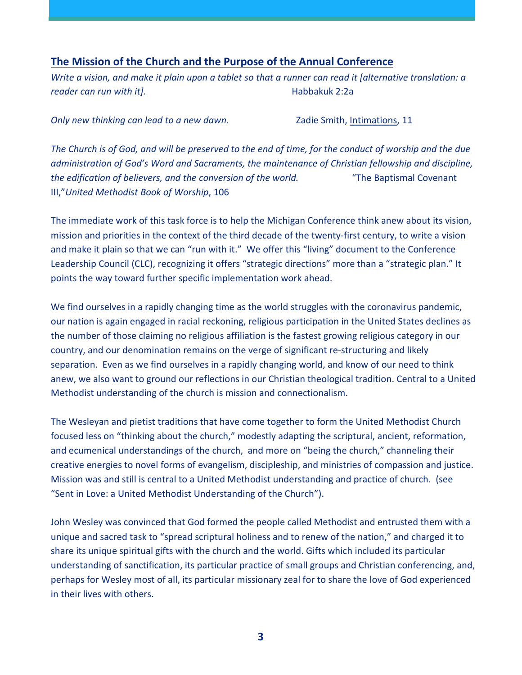#### **The Mission of the Church and the Purpose of the Annual Conference**

*Write a vision, and make it plain upon a tablet so that a runner can read it [alternative translation: a reader can run with it].* Habbakuk 2:2a

*Only new thinking can lead to a new dawn.* Zadie Smith, Intimations, 11

*The Church is of God, and will be preserved to the end of time, for the conduct of worship and the due administration of God's Word and Sacraments, the maintenance of Christian fellowship and discipline, the edification of believers, and the conversion of the world.* "The Baptismal Covenant III,"*United Methodist Book of Worship*, 106

The immediate work of this task force is to help the Michigan Conference think anew about its vision, mission and priorities in the context of the third decade of the twenty-first century, to write a vision and make it plain so that we can "run with it." We offer this "living" document to the Conference Leadership Council (CLC), recognizing it offers "strategic directions" more than a "strategic plan." It points the way toward further specific implementation work ahead.

We find ourselves in a rapidly changing time as the world struggles with the coronavirus pandemic, our nation is again engaged in racial reckoning, religious participation in the United States declines as the number of those claiming no religious affiliation is the fastest growing religious category in our country, and our denomination remains on the verge of significant re-structuring and likely separation. Even as we find ourselves in a rapidly changing world, and know of our need to think anew, we also want to ground our reflections in our Christian theological tradition. Central to a United Methodist understanding of the church is mission and connectionalism.

The Wesleyan and pietist traditions that have come together to form the United Methodist Church focused less on "thinking about the church," modestly adapting the scriptural, ancient, reformation, and ecumenical understandings of the church, and more on "being the church," channeling their creative energies to novel forms of evangelism, discipleship, and ministries of compassion and justice. Mission was and still is central to a United Methodist understanding and practice of church. (see "Sent in Love: a United Methodist Understanding of the Church").

John Wesley was convinced that God formed the people called Methodist and entrusted them with a unique and sacred task to "spread scriptural holiness and to renew of the nation," and charged it to share its unique spiritual gifts with the church and the world. Gifts which included its particular understanding of sanctification, its particular practice of small groups and Christian conferencing, and, perhaps for Wesley most of all, its particular missionary zeal for to share the love of God experienced in their lives with others.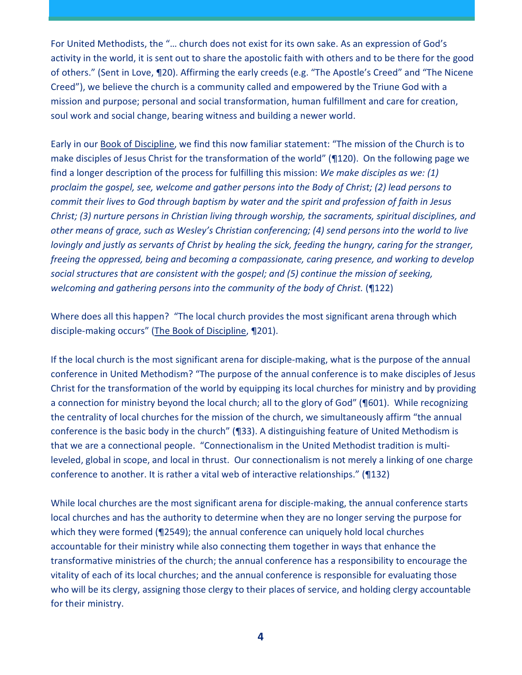For United Methodists, the "… church does not exist for its own sake. As an expression of God's activity in the world, it is sent out to share the apostolic faith with others and to be there for the good of others." (Sent in Love, ¶20). Affirming the early creeds (e.g. "The Apostle's Creed" and "The Nicene Creed"), we believe the church is a community called and empowered by the Triune God with a mission and purpose; personal and social transformation, human fulfillment and care for creation, soul work and social change, bearing witness and building a newer world.

Early in our Book of Discipline, we find this now familiar statement: "The mission of the Church is to make disciples of Jesus Christ for the transformation of the world" (¶120). On the following page we find a longer description of the process for fulfilling this mission: *We make disciples as we: (1) proclaim the gospel, see, welcome and gather persons into the Body of Christ; (2) lead persons to commit their lives to God through baptism by water and the spirit and profession of faith in Jesus Christ; (3) nurture persons in Christian living through worship, the sacraments, spiritual disciplines, and other means of grace, such as Wesley's Christian conferencing; (4) send persons into the world to live lovingly and justly as servants of Christ by healing the sick, feeding the hungry, caring for the stranger, freeing the oppressed, being and becoming a compassionate, caring presence, and working to develop social structures that are consistent with the gospel; and (5) continue the mission of seeking, welcoming and gathering persons into the community of the body of Christ.* (¶122)

Where does all this happen? "The local church provides the most significant arena through which disciple-making occurs" (The Book of Discipline, ¶201).

If the local church is the most significant arena for disciple-making, what is the purpose of the annual conference in United Methodism? "The purpose of the annual conference is to make disciples of Jesus Christ for the transformation of the world by equipping its local churches for ministry and by providing a connection for ministry beyond the local church; all to the glory of God" (¶601). While recognizing the centrality of local churches for the mission of the church, we simultaneously affirm "the annual conference is the basic body in the church" (¶33). A distinguishing feature of United Methodism is that we are a connectional people. "Connectionalism in the United Methodist tradition is multileveled, global in scope, and local in thrust. Our connectionalism is not merely a linking of one charge conference to another. It is rather a vital web of interactive relationships." (¶132)

While local churches are the most significant arena for disciple-making, the annual conference starts local churches and has the authority to determine when they are no longer serving the purpose for which they were formed (¶2549); the annual conference can uniquely hold local churches accountable for their ministry while also connecting them together in ways that enhance the transformative ministries of the church; the annual conference has a responsibility to encourage the vitality of each of its local churches; and the annual conference is responsible for evaluating those who will be its clergy, assigning those clergy to their places of service, and holding clergy accountable for their ministry.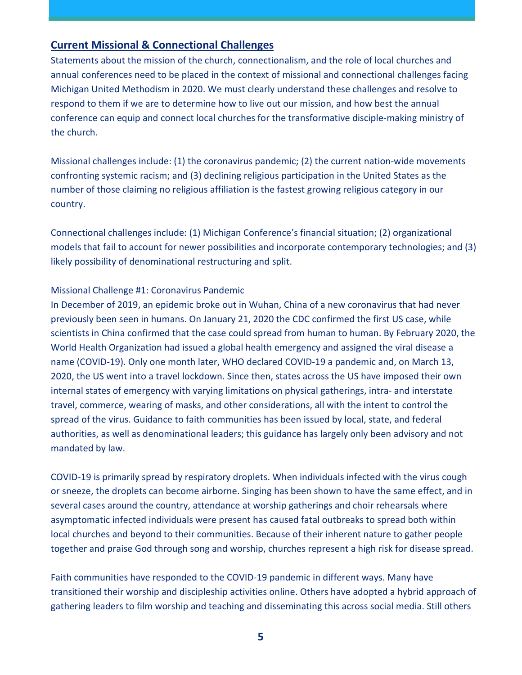#### **Current Missional & Connectional Challenges**

Statements about the mission of the church, connectionalism, and the role of local churches and annual conferences need to be placed in the context of missional and connectional challenges facing Michigan United Methodism in 2020. We must clearly understand these challenges and resolve to respond to them if we are to determine how to live out our mission, and how best the annual conference can equip and connect local churches for the transformative disciple-making ministry of the church.

Missional challenges include: (1) the coronavirus pandemic; (2) the current nation-wide movements confronting systemic racism; and (3) declining religious participation in the United States as the number of those claiming no religious affiliation is the fastest growing religious category in our country.

Connectional challenges include: (1) Michigan Conference's financial situation; (2) organizational models that fail to account for newer possibilities and incorporate contemporary technologies; and (3) likely possibility of denominational restructuring and split.

#### Missional Challenge #1: Coronavirus Pandemic

In December of 2019, an epidemic broke out in Wuhan, China of a new coronavirus that had never previously been seen in humans. On January 21, 2020 the CDC confirmed the first US case, while scientists in China confirmed that the case could spread from human to human. By February 2020, the World Health Organization had issued a global health emergency and assigned the viral disease a name (COVID-19). Only one month later, WHO declared COVID-19 a pandemic and, on March 13, 2020, the US went into a travel lockdown. Since then, states across the US have imposed their own internal states of emergency with varying limitations on physical gatherings, intra- and interstate travel, commerce, wearing of masks, and other considerations, all with the intent to control the spread of the virus. Guidance to faith communities has been issued by local, state, and federal authorities, as well as denominational leaders; this guidance has largely only been advisory and not mandated by law.

COVID-19 is primarily spread by respiratory droplets. When individuals infected with the virus cough or sneeze, the droplets can become airborne. Singing has been shown to have the same effect, and in several cases around the country, attendance at worship gatherings and choir rehearsals where asymptomatic infected individuals were present has caused fatal outbreaks to spread both within local churches and beyond to their communities. Because of their inherent nature to gather people together and praise God through song and worship, churches represent a high risk for disease spread.

Faith communities have responded to the COVID-19 pandemic in different ways. Many have transitioned their worship and discipleship activities online. Others have adopted a hybrid approach of gathering leaders to film worship and teaching and disseminating this across social media. Still others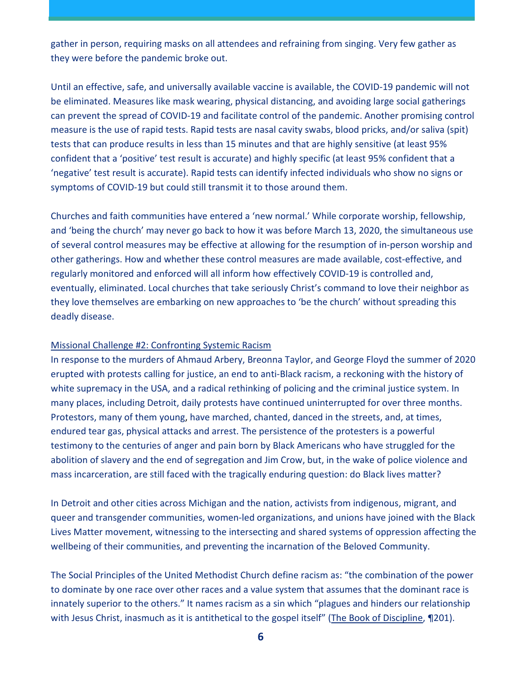gather in person, requiring masks on all attendees and refraining from singing. Very few gather as they were before the pandemic broke out.

Until an effective, safe, and universally available vaccine is available, the COVID-19 pandemic will not be eliminated. Measures like mask wearing, physical distancing, and avoiding large social gatherings can prevent the spread of COVID-19 and facilitate control of the pandemic. Another promising control measure is the use of rapid tests. Rapid tests are nasal cavity swabs, blood pricks, and/or saliva (spit) tests that can produce results in less than 15 minutes and that are highly sensitive (at least 95% confident that a 'positive' test result is accurate) and highly specific (at least 95% confident that a 'negative' test result is accurate). Rapid tests can identify infected individuals who show no signs or symptoms of COVID-19 but could still transmit it to those around them.

Churches and faith communities have entered a 'new normal.' While corporate worship, fellowship, and 'being the church' may never go back to how it was before March 13, 2020, the simultaneous use of several control measures may be effective at allowing for the resumption of in-person worship and other gatherings. How and whether these control measures are made available, cost-effective, and regularly monitored and enforced will all inform how effectively COVID-19 is controlled and, eventually, eliminated. Local churches that take seriously Christ's command to love their neighbor as they love themselves are embarking on new approaches to 'be the church' without spreading this deadly disease.

#### Missional Challenge #2: Confronting Systemic Racism

In response to the murders of Ahmaud Arbery, Breonna Taylor, and George Floyd the summer of 2020 erupted with protests calling for justice, an end to anti-Black racism, a reckoning with the history of white supremacy in the USA, and a radical rethinking of policing and the criminal justice system. In many places, including Detroit, daily protests have continued uninterrupted for over three months. Protestors, many of them young, have marched, chanted, danced in the streets, and, at times, endured tear gas, physical attacks and arrest. The persistence of the protesters is a powerful testimony to the centuries of anger and pain born by Black Americans who have struggled for the abolition of slavery and the end of segregation and Jim Crow, but, in the wake of police violence and mass incarceration, are still faced with the tragically enduring question: do Black lives matter?

In Detroit and other cities across Michigan and the nation, activists from indigenous, migrant, and queer and transgender communities, women-led organizations, and unions have joined with the Black Lives Matter movement, witnessing to the intersecting and shared systems of oppression affecting the wellbeing of their communities, and preventing the incarnation of the Beloved Community.

The Social Principles of the United Methodist Church define racism as: "the combination of the power to dominate by one race over other races and a value system that assumes that the dominant race is innately superior to the others." It names racism as a sin which "plagues and hinders our relationship with Jesus Christ, inasmuch as it is antithetical to the gospel itself" (The Book of Discipline, 1201).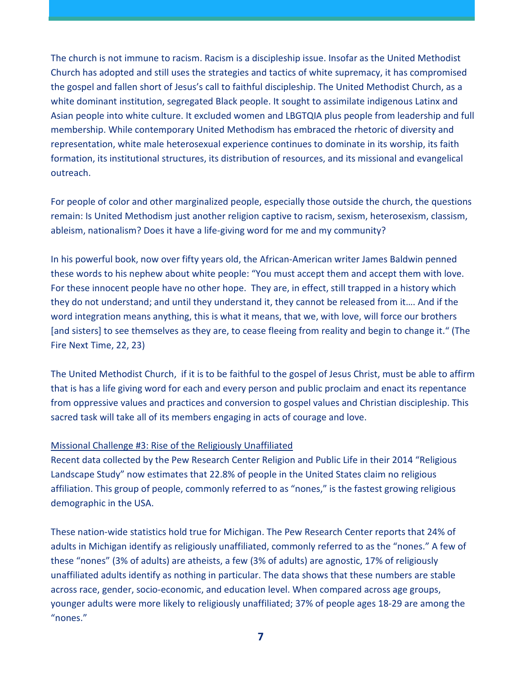The church is not immune to racism. Racism is a discipleship issue. Insofar as the United Methodist Church has adopted and still uses the strategies and tactics of white supremacy, it has compromised the gospel and fallen short of Jesus's call to faithful discipleship. The United Methodist Church, as a white dominant institution, segregated Black people. It sought to assimilate indigenous Latinx and Asian people into white culture. It excluded women and LBGTQIA plus people from leadership and full membership. While contemporary United Methodism has embraced the rhetoric of diversity and representation, white male heterosexual experience continues to dominate in its worship, its faith formation, its institutional structures, its distribution of resources, and its missional and evangelical outreach.

For people of color and other marginalized people, especially those outside the church, the questions remain: Is United Methodism just another religion captive to racism, sexism, heterosexism, classism, ableism, nationalism? Does it have a life-giving word for me and my community?

In his powerful book, now over fifty years old, the African-American writer James Baldwin penned these words to his nephew about white people: "You must accept them and accept them with love. For these innocent people have no other hope. They are, in effect, still trapped in a history which they do not understand; and until they understand it, they cannot be released from it…. And if the word integration means anything, this is what it means, that we, with love, will force our brothers [and sisters] to see themselves as they are, to cease fleeing from reality and begin to change it." (The Fire Next Time, 22, 23)

The United Methodist Church, if it is to be faithful to the gospel of Jesus Christ, must be able to affirm that is has a life giving word for each and every person and public proclaim and enact its repentance from oppressive values and practices and conversion to gospel values and Christian discipleship. This sacred task will take all of its members engaging in acts of courage and love.

#### Missional Challenge #3: Rise of the Religiously Unaffiliated

Recent data collected by the Pew Research Center Religion and Public Life in their 2014 "Religious Landscape Study" now estimates that 22.8% of people in the United States claim no religious affiliation. This group of people, commonly referred to as "nones," is the fastest growing religious demographic in the USA.

These nation-wide statistics hold true for Michigan. The Pew Research Center reports that 24% of adults in Michigan identify as religiously unaffiliated, commonly referred to as the "nones." A few of these "nones" (3% of adults) are atheists, a few (3% of adults) are agnostic, 17% of religiously unaffiliated adults identify as nothing in particular. The data shows that these numbers are stable across race, gender, socio-economic, and education level. When compared across age groups, younger adults were more likely to religiously unaffiliated; 37% of people ages 18-29 are among the "nones."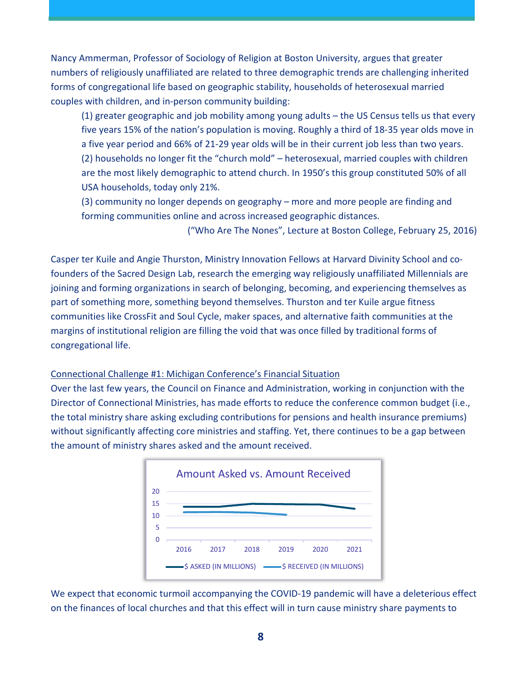Nancy Ammerman, Professor of Sociology of Religion at Boston University, argues that greater numbers of religiously unaffiliated are related to three demographic trends are challenging inherited forms of congregational life based on geographic stability, households of heterosexual married couples with children, and in-person community building:

(1) greater geographic and job mobility among young adults – the US Census tells us that every five years 15% of the nation's population is moving. Roughly a third of 18-35 year olds move in a five year period and 66% of 21-29 year olds will be in their current job less than two years. (2) households no longer fit the "church mold" – heterosexual, married couples with children are the most likely demographic to attend church. In 1950's this group constituted 50% of all USA households, today only 21%.

(3) community no longer depends on geography – more and more people are finding and forming communities online and across increased geographic distances.

("Who Are The Nones", Lecture at Boston College, February 25, 2016)

Casper ter Kuile and Angie Thurston, Ministry Innovation Fellows at Harvard Divinity School and cofounders of the Sacred Design Lab, research the emerging way religiously unaffiliated Millennials are joining and forming organizations in search of belonging, becoming, and experiencing themselves as part of something more, something beyond themselves. Thurston and ter Kuile argue fitness communities like CrossFit and Soul Cycle, maker spaces, and alternative faith communities at the margins of institutional religion are filling the void that was once filled by traditional forms of congregational life.

#### Connectional Challenge #1: Michigan Conference's Financial Situation

Over the last few years, the Council on Finance and Administration, working in conjunction with the Director of Connectional Ministries, has made efforts to reduce the conference common budget (i.e., the total ministry share asking excluding contributions for pensions and health insurance premiums) without significantly affecting core ministries and staffing. Yet, there continues to be a gap between the amount of ministry shares asked and the amount received.



We expect that economic turmoil accompanying the COVID-19 pandemic will have a deleterious effect on the finances of local churches and that this effect will in turn cause ministry share payments to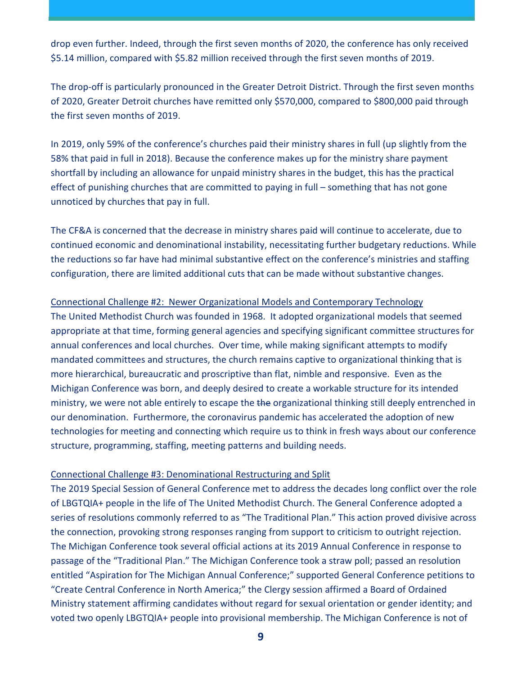drop even further. Indeed, through the first seven months of 2020, the conference has only received \$5.14 million, compared with \$5.82 million received through the first seven months of 2019.

The drop-off is particularly pronounced in the Greater Detroit District. Through the first seven months of 2020, Greater Detroit churches have remitted only \$570,000, compared to \$800,000 paid through the first seven months of 2019.

In 2019, only 59% of the conference's churches paid their ministry shares in full (up slightly from the 58% that paid in full in 2018). Because the conference makes up for the ministry share payment shortfall by including an allowance for unpaid ministry shares in the budget, this has the practical effect of punishing churches that are committed to paying in full – something that has not gone unnoticed by churches that pay in full.

The CF&A is concerned that the decrease in ministry shares paid will continue to accelerate, due to continued economic and denominational instability, necessitating further budgetary reductions. While the reductions so far have had minimal substantive effect on the conference's ministries and staffing configuration, there are limited additional cuts that can be made without substantive changes.

#### Connectional Challenge #2: Newer Organizational Models and Contemporary Technology

The United Methodist Church was founded in 1968. It adopted organizational models that seemed appropriate at that time, forming general agencies and specifying significant committee structures for annual conferences and local churches. Over time, while making significant attempts to modify mandated committees and structures, the church remains captive to organizational thinking that is more hierarchical, bureaucratic and proscriptive than flat, nimble and responsive. Even as the Michigan Conference was born, and deeply desired to create a workable structure for its intended ministry, we were not able entirely to escape the the organizational thinking still deeply entrenched in our denomination. Furthermore, the coronavirus pandemic has accelerated the adoption of new technologies for meeting and connecting which require us to think in fresh ways about our conference structure, programming, staffing, meeting patterns and building needs.

#### Connectional Challenge #3: Denominational Restructuring and Split

The 2019 Special Session of General Conference met to address the decades long conflict over the role of LBGTQIA+ people in the life of The United Methodist Church. The General Conference adopted a series of resolutions commonly referred to as "The Traditional Plan." This action proved divisive across the connection, provoking strong responses ranging from support to criticism to outright rejection. The Michigan Conference took several official actions at its 2019 Annual Conference in response to passage of the "Traditional Plan." The Michigan Conference took a straw poll; passed an resolution entitled "Aspiration for The Michigan Annual Conference;" supported General Conference petitions to "Create Central Conference in North America;" the Clergy session affirmed a Board of Ordained Ministry statement affirming candidates without regard for sexual orientation or gender identity; and voted two openly LBGTQIA+ people into provisional membership. The Michigan Conference is not of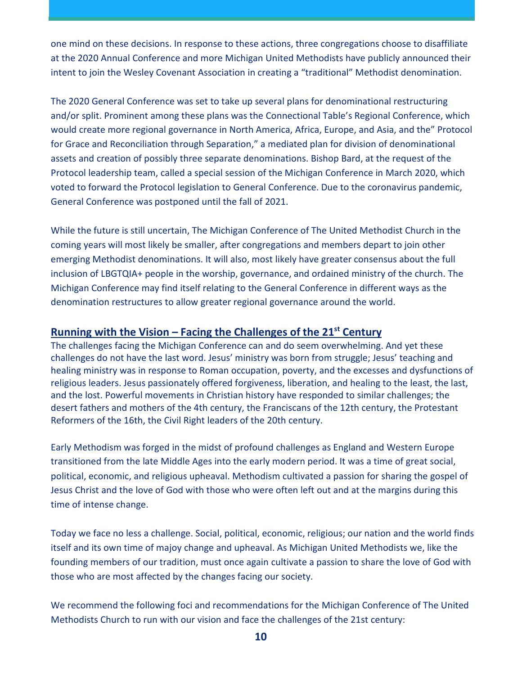one mind on these decisions. In response to these actions, three congregations choose to disaffiliate at the 2020 Annual Conference and more Michigan United Methodists have publicly announced their intent to join the Wesley Covenant Association in creating a "traditional" Methodist denomination.

The 2020 General Conference was set to take up several plans for denominational restructuring and/or split. Prominent among these plans was the Connectional Table's Regional Conference, which would create more regional governance in North America, Africa, Europe, and Asia, and the" Protocol for Grace and Reconciliation through Separation," a mediated plan for division of denominational assets and creation of possibly three separate denominations. Bishop Bard, at the request of the Protocol leadership team, called a special session of the Michigan Conference in March 2020, which voted to forward the Protocol legislation to General Conference. Due to the coronavirus pandemic, General Conference was postponed until the fall of 2021.

While the future is still uncertain, The Michigan Conference of The United Methodist Church in the coming years will most likely be smaller, after congregations and members depart to join other emerging Methodist denominations. It will also, most likely have greater consensus about the full inclusion of LBGTQIA+ people in the worship, governance, and ordained ministry of the church. The Michigan Conference may find itself relating to the General Conference in different ways as the denomination restructures to allow greater regional governance around the world.

#### **Running with the Vision – Facing the Challenges of the 21st Century**

The challenges facing the Michigan Conference can and do seem overwhelming. And yet these challenges do not have the last word. Jesus' ministry was born from struggle; Jesus' teaching and healing ministry was in response to Roman occupation, poverty, and the excesses and dysfunctions of religious leaders. Jesus passionately offered forgiveness, liberation, and healing to the least, the last, and the lost. Powerful movements in Christian history have responded to similar challenges; the desert fathers and mothers of the 4th century, the Franciscans of the 12th century, the Protestant Reformers of the 16th, the Civil Right leaders of the 20th century.

Early Methodism was forged in the midst of profound challenges as England and Western Europe transitioned from the late Middle Ages into the early modern period. It was a time of great social, political, economic, and religious upheaval. Methodism cultivated a passion for sharing the gospel of Jesus Christ and the love of God with those who were often left out and at the margins during this time of intense change.

Today we face no less a challenge. Social, political, economic, religious; our nation and the world finds itself and its own time of majoy change and upheaval. As Michigan United Methodists we, like the founding members of our tradition, must once again cultivate a passion to share the love of God with those who are most affected by the changes facing our society.

We recommend the following foci and recommendations for the Michigan Conference of The United Methodists Church to run with our vision and face the challenges of the 21st century: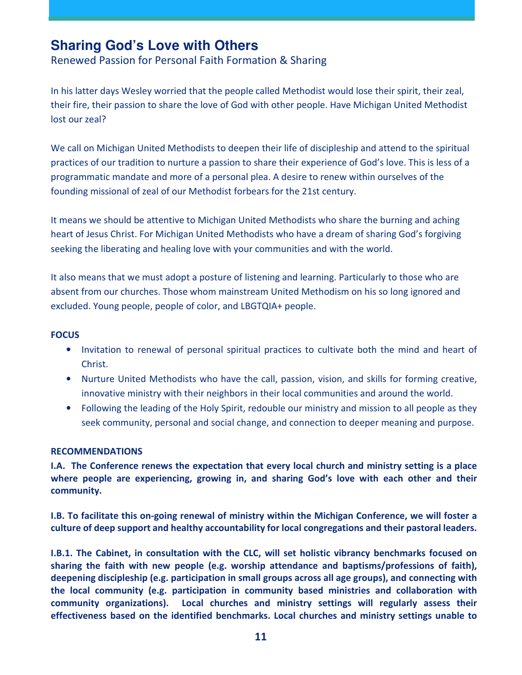## **Sharing God's Love with Others**

Renewed Passion for Personal Faith Formation & Sharing

In his latter days Wesley worried that the people called Methodist would lose their spirit, their zeal, their fire, their passion to share the love of God with other people. Have Michigan United Methodist lost our zeal?

We call on Michigan United Methodists to deepen their life of discipleship and attend to the spiritual practices of our tradition to nurture a passion to share their experience of God's love. This is less of a programmatic mandate and more of a personal plea. A desire to renew within ourselves of the founding missional of zeal of our Methodist forbears for the 21st century.

It means we should be attentive to Michigan United Methodists who share the burning and aching heart of Jesus Christ. For Michigan United Methodists who have a dream of sharing God's forgiving seeking the liberating and healing love with your communities and with the world.

It also means that we must adopt a posture of listening and learning. Particularly to those who are absent from our churches. Those whom mainstream United Methodism on his so long ignored and excluded. Young people, people of color, and LBGTQIA+ people.

#### **FOCUS**

- Invitation to renewal of personal spiritual practices to cultivate both the mind and heart of Christ.
- Nurture United Methodists who have the call, passion, vision, and skills for forming creative, innovative ministry with their neighbors in their local communities and around the world.
- Following the leading of the Holy Spirit, redouble our ministry and mission to all people as they seek community, personal and social change, and connection to deeper meaning and purpose.

#### **RECOMMENDATIONS**

**I.A. The Conference renews the expectation that every local church and ministry setting is a place where people are experiencing, growing in, and sharing God's love with each other and their community.** 

**I.B. To facilitate this on-going renewal of ministry within the Michigan Conference, we will foster a culture of deep support and healthy accountability for local congregations and their pastoral leaders.**

**I.B.1. The Cabinet, in consultation with the CLC, will set holistic vibrancy benchmarks focused on sharing the faith with new people (e.g. worship attendance and baptisms/professions of faith), deepening discipleship (e.g. participation in small groups across all age groups), and connecting with the local community (e.g. participation in community based ministries and collaboration with community organizations). Local churches and ministry settings will regularly assess their effectiveness based on the identified benchmarks. Local churches and ministry settings unable to**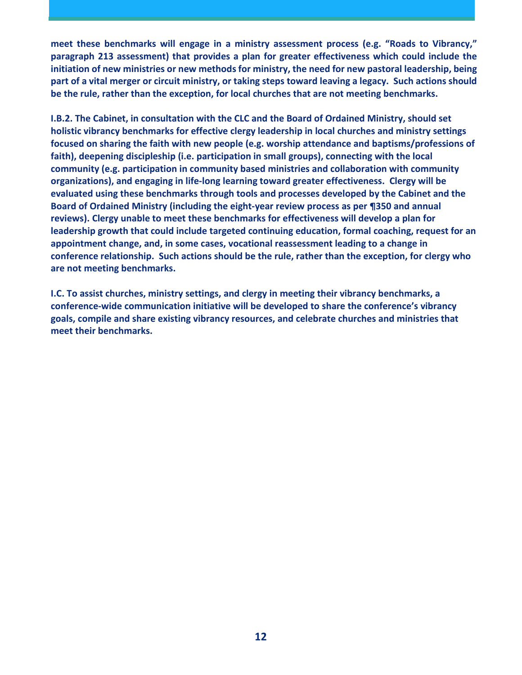**meet these benchmarks will engage in a ministry assessment process (e.g. "Roads to Vibrancy," paragraph 213 assessment) that provides a plan for greater effectiveness which could include the initiation of new ministries or new methods for ministry, the need for new pastoral leadership, being part of a vital merger or circuit ministry, or taking steps toward leaving a legacy. Such actions should be the rule, rather than the exception, for local churches that are not meeting benchmarks.** 

**I.B.2. The Cabinet, in consultation with the CLC and the Board of Ordained Ministry, should set holistic vibrancy benchmarks for effective clergy leadership in local churches and ministry settings focused on sharing the faith with new people (e.g. worship attendance and baptisms/professions of faith), deepening discipleship (i.e. participation in small groups), connecting with the local community (e.g. participation in community based ministries and collaboration with community organizations), and engaging in life-long learning toward greater effectiveness. Clergy will be evaluated using these benchmarks through tools and processes developed by the Cabinet and the Board of Ordained Ministry (including the eight-year review process as per ¶350 and annual reviews). Clergy unable to meet these benchmarks for effectiveness will develop a plan for leadership growth that could include targeted continuing education, formal coaching, request for an appointment change, and, in some cases, vocational reassessment leading to a change in conference relationship. Such actions should be the rule, rather than the exception, for clergy who are not meeting benchmarks.** 

**I.C. To assist churches, ministry settings, and clergy in meeting their vibrancy benchmarks, a conference-wide communication initiative will be developed to share the conference's vibrancy goals, compile and share existing vibrancy resources, and celebrate churches and ministries that meet their benchmarks.**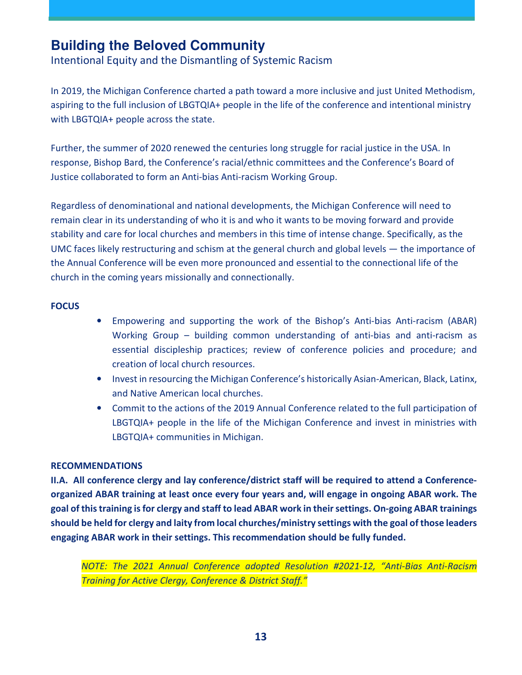## **Building the Beloved Community**

Intentional Equity and the Dismantling of Systemic Racism

In 2019, the Michigan Conference charted a path toward a more inclusive and just United Methodism, aspiring to the full inclusion of LBGTQIA+ people in the life of the conference and intentional ministry with LBGTQIA+ people across the state.

Further, the summer of 2020 renewed the centuries long struggle for racial justice in the USA. In response, Bishop Bard, the Conference's racial/ethnic committees and the Conference's Board of Justice collaborated to form an Anti-bias Anti-racism Working Group.

Regardless of denominational and national developments, the Michigan Conference will need to remain clear in its understanding of who it is and who it wants to be moving forward and provide stability and care for local churches and members in this time of intense change. Specifically, as the UMC faces likely restructuring and schism at the general church and global levels — the importance of the Annual Conference will be even more pronounced and essential to the connectional life of the church in the coming years missionally and connectionally.

#### **FOCUS**

- Empowering and supporting the work of the Bishop's Anti-bias Anti-racism (ABAR) Working Group – building common understanding of anti-bias and anti-racism as essential discipleship practices; review of conference policies and procedure; and creation of local church resources.
- Invest in resourcing the Michigan Conference's historically Asian-American, Black, Latinx, and Native American local churches.
- Commit to the actions of the 2019 Annual Conference related to the full participation of LBGTQIA+ people in the life of the Michigan Conference and invest in ministries with LBGTQIA+ communities in Michigan.

#### **RECOMMENDATIONS**

**II.A. All conference clergy and lay conference/district staff will be required to attend a Conferenceorganized ABAR training at least once every four years and, will engage in ongoing ABAR work. The goal of this training is for clergy and staff to lead ABAR work in their settings. On-going ABAR trainings should be held for clergy and laity from local churches/ministry settings with the goal of those leaders engaging ABAR work in their settings. This recommendation should be fully funded.** 

*NOTE: The 2021 Annual Conference adopted Resolution #2021-12, "Anti-Bias Anti-Racism Training for Active Clergy, Conference & District Staff."*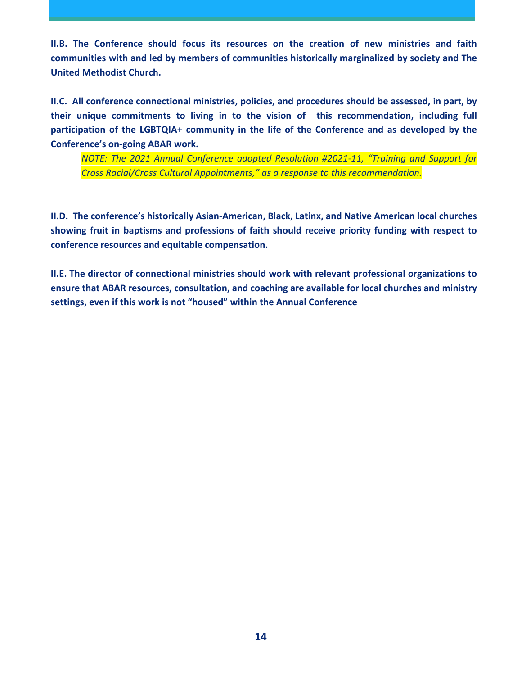**II.B. The Conference should focus its resources on the creation of new ministries and faith communities with and led by members of communities historically marginalized by society and The United Methodist Church.** 

**II.C. All conference connectional ministries, policies, and procedures should be assessed, in part, by their unique commitments to living in to the vision of this recommendation, including full participation of the LGBTQIA+ community in the life of the Conference and as developed by the Conference's on-going ABAR work.** 

*NOTE: The 2021 Annual Conference adopted Resolution #2021-11, "Training and Support for Cross Racial/Cross Cultural Appointments," as a response to this recommendation.* 

**II.D. The conference's historically Asian-American, Black, Latinx, and Native American local churches showing fruit in baptisms and professions of faith should receive priority funding with respect to conference resources and equitable compensation.** 

**II.E. The director of connectional ministries should work with relevant professional organizations to ensure that ABAR resources, consultation, and coaching are available for local churches and ministry settings, even if this work is not "housed" within the Annual Conference**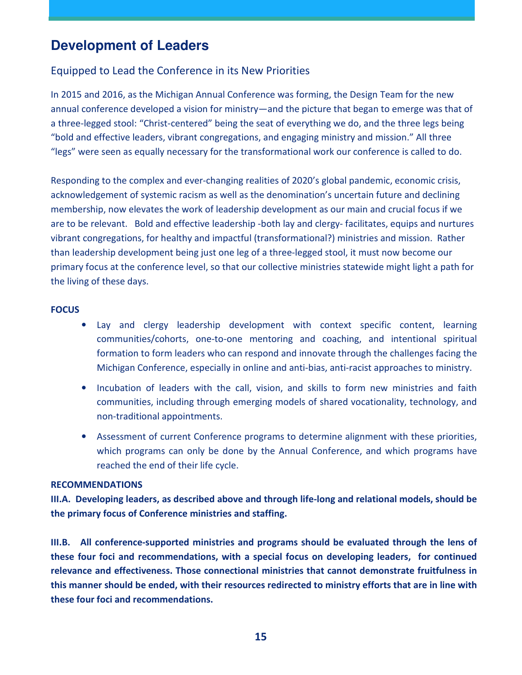## **Development of Leaders**

#### Equipped to Lead the Conference in its New Priorities

In 2015 and 2016, as the Michigan Annual Conference was forming, the Design Team for the new annual conference developed a vision for ministry—and the picture that began to emerge was that of a three-legged stool: "Christ-centered" being the seat of everything we do, and the three legs being "bold and effective leaders, vibrant congregations, and engaging ministry and mission." All three "legs" were seen as equally necessary for the transformational work our conference is called to do.

Responding to the complex and ever-changing realities of 2020's global pandemic, economic crisis, acknowledgement of systemic racism as well as the denomination's uncertain future and declining membership, now elevates the work of leadership development as our main and crucial focus if we are to be relevant. Bold and effective leadership -both lay and clergy- facilitates, equips and nurtures vibrant congregations, for healthy and impactful (transformational?) ministries and mission. Rather than leadership development being just one leg of a three-legged stool, it must now become our primary focus at the conference level, so that our collective ministries statewide might light a path for the living of these days.

#### **FOCUS**

- Lay and clergy leadership development with context specific content, learning communities/cohorts, one-to-one mentoring and coaching, and intentional spiritual formation to form leaders who can respond and innovate through the challenges facing the Michigan Conference, especially in online and anti-bias, anti-racist approaches to ministry.
- Incubation of leaders with the call, vision, and skills to form new ministries and faith communities, including through emerging models of shared vocationality, technology, and non-traditional appointments.
- Assessment of current Conference programs to determine alignment with these priorities, which programs can only be done by the Annual Conference, and which programs have reached the end of their life cycle.

#### **RECOMMENDATIONS**

**III.A. Developing leaders, as described above and through life-long and relational models, should be the primary focus of Conference ministries and staffing.** 

**III.B. All conference-supported ministries and programs should be evaluated through the lens of these four foci and recommendations, with a special focus on developing leaders, for continued relevance and effectiveness. Those connectional ministries that cannot demonstrate fruitfulness in this manner should be ended, with their resources redirected to ministry efforts that are in line with these four foci and recommendations.**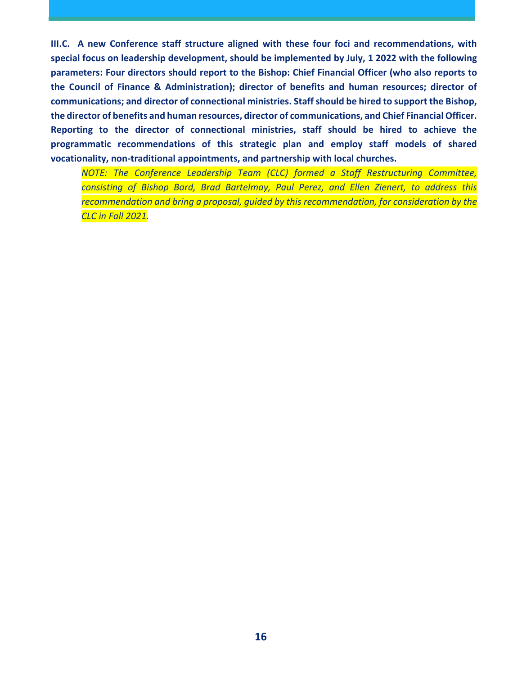**III.C. A new Conference staff structure aligned with these four foci and recommendations, with special focus on leadership development, should be implemented by July, 1 2022 with the following parameters: Four directors should report to the Bishop: Chief Financial Officer (who also reports to the Council of Finance & Administration); director of benefits and human resources; director of communications; and director of connectional ministries. Staff should be hired to support the Bishop, the director of benefits and human resources, director of communications, and Chief Financial Officer. Reporting to the director of connectional ministries, staff should be hired to achieve the programmatic recommendations of this strategic plan and employ staff models of shared vocationality, non-traditional appointments, and partnership with local churches.** 

*NOTE: The Conference Leadership Team (CLC) formed a Staff Restructuring Committee, consisting of Bishop Bard, Brad Bartelmay, Paul Perez, and Ellen Zienert, to address this recommendation and bring a proposal, guided by this recommendation, for consideration by the CLC in Fall 2021.*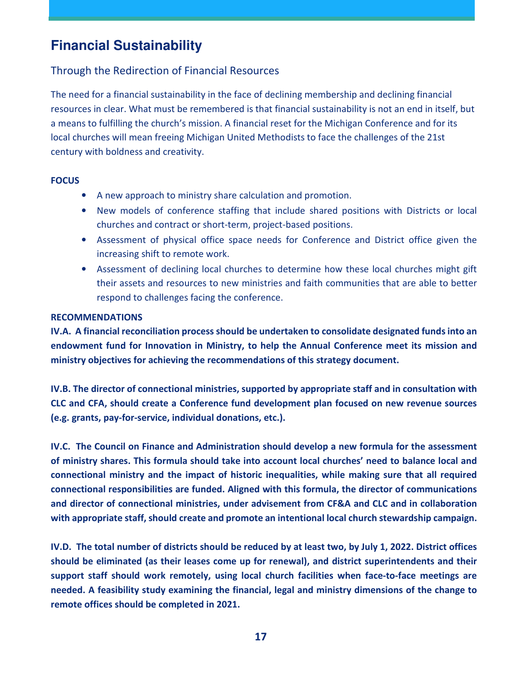## **Financial Sustainability**

#### Through the Redirection of Financial Resources

The need for a financial sustainability in the face of declining membership and declining financial resources in clear. What must be remembered is that financial sustainability is not an end in itself, but a means to fulfilling the church's mission. A financial reset for the Michigan Conference and for its local churches will mean freeing Michigan United Methodists to face the challenges of the 21st century with boldness and creativity.

#### **FOCUS**

- A new approach to ministry share calculation and promotion.
- New models of conference staffing that include shared positions with Districts or local churches and contract or short-term, project-based positions.
- Assessment of physical office space needs for Conference and District office given the increasing shift to remote work.
- Assessment of declining local churches to determine how these local churches might gift their assets and resources to new ministries and faith communities that are able to better respond to challenges facing the conference.

#### **RECOMMENDATIONS**

**IV.A. A financial reconciliation process should be undertaken to consolidate designated funds into an endowment fund for Innovation in Ministry, to help the Annual Conference meet its mission and ministry objectives for achieving the recommendations of this strategy document.** 

**IV.B. The director of connectional ministries, supported by appropriate staff and in consultation with CLC and CFA, should create a Conference fund development plan focused on new revenue sources (e.g. grants, pay-for-service, individual donations, etc.).** 

**IV.C. The Council on Finance and Administration should develop a new formula for the assessment of ministry shares. This formula should take into account local churches' need to balance local and connectional ministry and the impact of historic inequalities, while making sure that all required connectional responsibilities are funded. Aligned with this formula, the director of communications and director of connectional ministries, under advisement from CF&A and CLC and in collaboration with appropriate staff, should create and promote an intentional local church stewardship campaign.**

**IV.D. The total number of districts should be reduced by at least two, by July 1, 2022. District offices should be eliminated (as their leases come up for renewal), and district superintendents and their support staff should work remotely, using local church facilities when face-to-face meetings are needed. A feasibility study examining the financial, legal and ministry dimensions of the change to remote offices should be completed in 2021.**